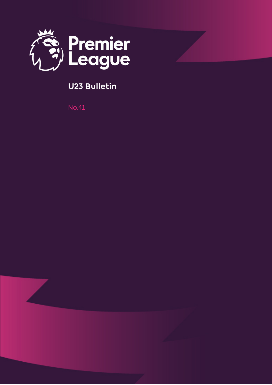

## **U23 Bulletin**

No.41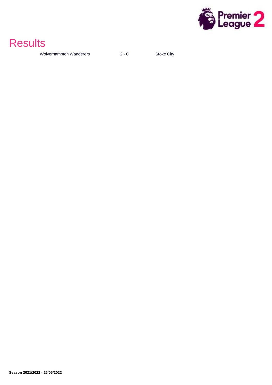

## **Results**

Wolverhampton Wanderers 2 - 0 Stoke City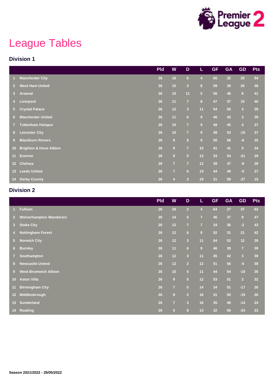

# League Tables

#### **Division 1**

|                 |                                   | <b>Pld</b> | W                | D                       | L              | <b>GF</b> | <b>GA</b>       | <b>GD</b>               | <b>Pts</b> |
|-----------------|-----------------------------------|------------|------------------|-------------------------|----------------|-----------|-----------------|-------------------------|------------|
|                 | <b>Manchester City</b>            | 26         | 16               | 6 <sup>1</sup>          | $\overline{4}$ | 65        | 32 <sub>2</sub> | 33                      | 54         |
| $\overline{2}$  | <b>West Ham United</b>            | 26         | 15               | $\overline{\mathbf{3}}$ | $\bf{8}$       | 59        | 39              | 20                      | 48         |
| 3 <sup>1</sup>  | <b>Arsenal</b>                    | 26         | 10               | 11                      | $\overline{5}$ | 56        | 48              | 8                       | 41         |
| 4               | Liverpool                         | 26         | 11               | $\overline{7}$          | $\bf{8}$       | 47        | 37              | 10                      | 40         |
| 5 <sup>1</sup>  | <b>Crystal Palace</b>             | 26         | $12$             | $\overline{\mathbf{3}}$ | 11             | 54        | 50              | $\overline{4}$          | 39         |
| 6 <sup>1</sup>  | <b>Manchester United</b>          | 26         | 11               | $6\phantom{a}$          | $\overline{9}$ | 46        | 43              | $\overline{\mathbf{3}}$ | 39         |
| $\overline{7}$  | <b>Tottenham Hotspur</b>          | 26         | 10               | $\overline{7}$          | $\overline{9}$ | 49        | 45              | $\overline{4}$          | 37         |
| 8 <sup>2</sup>  | <b>Leicester City</b>             | 26         | 10               | $\overline{7}$          | $\overline{9}$ | 38        | 53              | $-15$                   | 37         |
| 9 <sup>°</sup>  | <b>Blackburn Rovers</b>           | 26         | $\boldsymbol{9}$ | $\overline{\mathbf{8}}$ | $\overline{9}$ | 50        | 56              | $-6$                    | 35         |
| 10 <sub>1</sub> | <b>Brighton &amp; Hove Albion</b> | 26         | $\overline{9}$   | $\overline{7}$          | 10             | 41        | 41              | $\overline{0}$          | 34         |
| 11 <sup>1</sup> | <b>Everton</b>                    | 26         | $\bf{8}$         | 5 <sup>1</sup>          | 13             | 33        | 54              | $-21$                   | 29         |
| $12-$           | Chelsea                           | 26         | $\overline{7}$   | $\overline{7}$          | $12$           | 39        | 47              | $-8$                    | 28         |
| 13 <sup>°</sup> | <b>Leeds United</b>               | 26         | $\overline{7}$   | 6 <sup>1</sup>          | 13             | 44        | 49              | $-5$                    | 27         |
| 14 <sup>1</sup> | <b>Derby County</b>               | 26         | $\overline{4}$   | $\overline{\mathbf{3}}$ | 19             | 31        | 58              | $-27$                   | 15         |

### **Division 2**

|                      |                                | <b>Pld</b> | W              | D                       | L                       | <b>GF</b> | <b>GA</b> | <b>GD</b>               | <b>Pts</b> |
|----------------------|--------------------------------|------------|----------------|-------------------------|-------------------------|-----------|-----------|-------------------------|------------|
| $\blacktriangleleft$ | <b>Fulham</b>                  | 26         | 20             | 2 <sup>1</sup>          | $\overline{4}$          | 64        | 27        | 37                      | 62         |
| $\overline{2}$       | <b>Wolverhampton Wanderers</b> | 26         | 14             | $\overline{5}$          | $\overline{7}$          | 46        | 37        | 9                       | 47         |
| 3 <sup>2</sup>       | <b>Stoke City</b>              | 26         | 12             | $\overline{7}$          | $\overline{7}$          | 34        | 36        | $-2$                    | 43         |
| $\overline{4}$       | <b>Nottingham Forest</b>       | 26         | 12             | 6 <sup>1</sup>          | $\overline{\mathbf{8}}$ | 52        | 31        | 21                      | 42         |
| 5 <sub>1</sub>       | <b>Norwich City</b>            | 26         | $12$           | $\overline{\mathbf{3}}$ | 11                      | 64        | 52        | $12$                    | 39         |
| 6 <sup>1</sup>       | <b>Burnley</b>                 | 26         | 11             | 6 <sup>1</sup>          | $\overline{9}$          | 46        | 39        | $\overline{7}$          | 39         |
| $\overline{7}$       | Southampton                    | 26         | 12             | $\overline{\mathbf{3}}$ | 11                      | 45        | 42        | $\overline{\mathbf{3}}$ | 39         |
| 8                    | <b>Newcastle United</b>        | 26         | 12             | $\overline{2}$          | 12                      | 51        | 56        | $-5$                    | 38         |
| $9^{\circ}$          | <b>West Bromwich Albion</b>    | 26         | 10             | 5 <sup>5</sup>          | 11                      | 44        | 54        | $-10$                   | 35         |
| 10 <sup>°</sup>      | <b>Aston Villa</b>             | 26         | $\overline{9}$ | 5 <sup>5</sup>          | 12                      | 53        | 51        | $\overline{2}$          | 32         |
| 11                   | <b>Birmingham City</b>         | 26         | $\overline{7}$ | 5 <sup>5</sup>          | 14                      | 34        | 51        | $-17$                   | 26         |
| $12-12$              | Middlesbrough                  | 26         | $\bf{8}$       | $\overline{2}$          | 16                      | 31        | 50        | $-19$                   | 26         |
| 13 <sup>°</sup>      | <b>Sunderland</b>              | 26         | $\overline{7}$ | $\overline{\mathbf{3}}$ | 16                      | 35        | 49        | $-14$                   | 24         |
|                      | 14 Reading                     | 26         | 5 <sup>5</sup> | 8                       | 13                      | 32        | 56        | $-24$                   | 23         |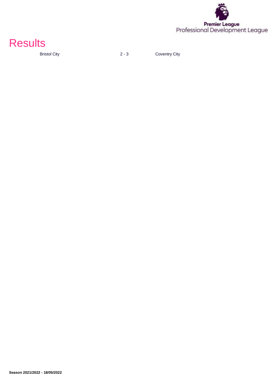



Bristol City **2 - 3** Coventry City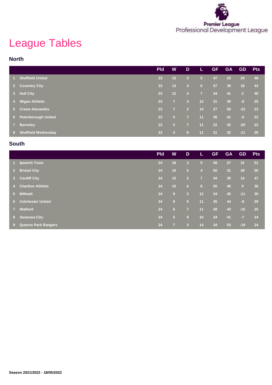

# League Tables

#### **North**

|                |                            | <b>Pld</b> | W              | D              | L              | <b>GF</b> | <b>GA</b>       | <b>GD</b>               | <b>Pts</b> |
|----------------|----------------------------|------------|----------------|----------------|----------------|-----------|-----------------|-------------------------|------------|
|                | <b>Sheffield United</b>    | 23         | 15             | 3              | $\sqrt{5}$     | 47        | 23              | 24                      | 48         |
| $2^{\circ}$    | <b>Coventry City</b>       | 23         | 13             | $\overline{4}$ | 6              | 57        | 39              | 18                      | 43         |
| 3 <sup>2</sup> | <b>Hull City</b>           | 23         | 12             | $\overline{4}$ | $\overline{7}$ | 44        | 41              | $\overline{\mathbf{3}}$ | 40         |
| 4 <sup>1</sup> | <b>Wigan Athletic</b>      | 23         | $\overline{7}$ | $\overline{4}$ | 12             | 31        | 39              | $-8$                    | 25         |
| $5 -$          | <b>Crewe Alexandra</b>     | 23         | $\overline{7}$ | $\overline{2}$ | 14             | 27        | 50              | $-23$                   | 23         |
| $6 -$          | <b>Peterborough United</b> | 23         | 5 <sub>5</sub> | $\overline{7}$ | 11             | 36        | 41              | $-5$                    | 22         |
| 7 <sup>7</sup> | <b>Barnsley</b>            | 23         | 5 <sub>5</sub> | $\overline{7}$ | 11             | 22        | 42              | $-20$                   | 22         |
| 8 <sup>1</sup> | <b>Sheffield Wednesday</b> | 23         | $\overline{4}$ | 8              | 11             | 21        | 32 <sub>2</sub> | $-11$                   | <b>20</b>  |

#### **South**

|                |                            | <b>Pld</b> | W              | D                       | L.             | <b>GF</b> | <b>GA</b> | <b>GD</b> | <b>Pts</b> |
|----------------|----------------------------|------------|----------------|-------------------------|----------------|-----------|-----------|-----------|------------|
| $1 -$          | <b>Ipswich Town</b>        | 24         | 16             | $\overline{\mathbf{3}}$ | 5 <sub>5</sub> | 58        | 27        | 31        | 51         |
| $2^{\circ}$    | <b>Bristol City</b>        | 24         | 15             | $5\phantom{.0}$         | $\overline{4}$ | 60        | 31        | 29        | 50         |
|                | 3 Cardiff City             | 24         | 15             | $\overline{2}$          | $\overline{7}$ | 44        | 30        | 14        | 47         |
| 74.7           | <b>Charlton Athletic</b>   | 24         | 10             | 6                       | 8              | 55        | 46        | 9         | 36         |
| $5 -$          | <b>Millwall</b>            | 24         | 9              | $\overline{3}$          | 12             | 34        | 45        | $-11$     | 30         |
|                | <b>6</b> Colchester United | 24         | 8              | 15)                     | 11             | 35        | 44        | $-9$      | 29         |
| 7 <sup>7</sup> | Watford                    | 24         | 6              | $\overline{7}$          | 11             | 28        | 43        | $-15$     | 25         |
|                | 8 Swansea City             | 24         | 5 <sub>5</sub> | 9                       | 10             | 34        | 41        | $-7$      | 24         |
| 9              | <b>Queens Park Rangers</b> | 24         | $\overline{7}$ | 3                       | 14             | 34        | 53        | $-19$     | 24         |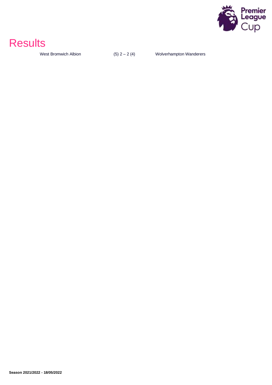

## **Results**

West Bromwich Albion  $(5)$   $2 - 2$   $(4)$  Wolverhampton Wanderers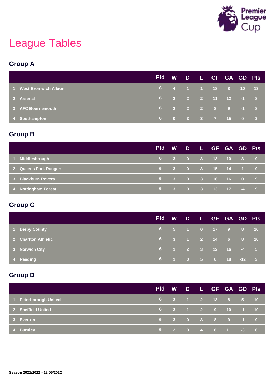

# League Tables

### **Group A**

|                        | <b>Pld</b> |  | W D L GF GA GD Pts  |  |  |
|------------------------|------------|--|---------------------|--|--|
| 1 West Bromwich Albion |            |  | 6 4 1 1 18 8 10 13  |  |  |
| 2 Arsenal              |            |  | 6 2 2 2 11 12 -1 8  |  |  |
| 3 AFC Bournemouth      |            |  | 6 2 2 2 8 9 -1 8    |  |  |
| 4 Southampton          |            |  | $6$ 0 3 3 7 15 -8 3 |  |  |

### **Group B**

|                         | <b>Pld</b> |  | W D L GF GA GD Pts |  |  |
|-------------------------|------------|--|--------------------|--|--|
| Middlesbrough<br>$\sim$ |            |  | 6 3 0 3 13 10 3 9  |  |  |
| 2 Queens Park Rangers   |            |  | 6 3 0 3 15 14 1 9  |  |  |
| 3 Blackburn Rovers      |            |  | 6 3 0 3 16 16 0 9  |  |  |
| 4 Nottingham Forest     | 6          |  | 3 0 3 13 17 -4 9   |  |  |

### **Group C**

|                     | <b>Pld</b> | <b>W</b> |  | DLGFGAGDPts                                                               |  |                   |
|---------------------|------------|----------|--|---------------------------------------------------------------------------|--|-------------------|
| 1 Derby County      |            |          |  | 6 5 1 0 17 9 8 16                                                         |  |                   |
| 2 Charlton Athletic |            |          |  | $\begin{array}{ccccccccccccc}\n6 & 3 & 1 & 2 & 14 & 6 & 8 \\ \end{array}$ |  | $\blacksquare$ 10 |
| 3 Norwich City      |            |          |  | $\begin{array}{cccccccc} 6 & 1 & 2 & 3 & 12 & 16 & -4 & 5 \end{array}$    |  |                   |
| 4 Reading           |            |          |  | $\begin{array}{cccccccc} 6 & 1 & 0 & 5 & 6 & 18 & -12 & 3 \end{array}$    |  |                   |

### **Group D**

|                       | <b>Pld</b> | <b>W</b> |  | DLGFGAGDPts                                                                          |  |  |
|-----------------------|------------|----------|--|--------------------------------------------------------------------------------------|--|--|
| 1 Peterborough United |            |          |  | 6 3 1 2 13 8 5 10                                                                    |  |  |
| 2 Sheffield United    |            |          |  | $\begin{array}{cccccccc} 6 & 3 & 1 & 2 & 9 & 10 & -1 & 10 \end{array}$               |  |  |
| 3 Everton             |            |          |  | $\begin{array}{cccccccc} 6 & 3 & 0 & 3 & 8 & 9 & \cdot \overline{1} & 9 \end{array}$ |  |  |
| 4 Burnley             |            |          |  | $-6$ 2 0 4 8 11 -3 6                                                                 |  |  |